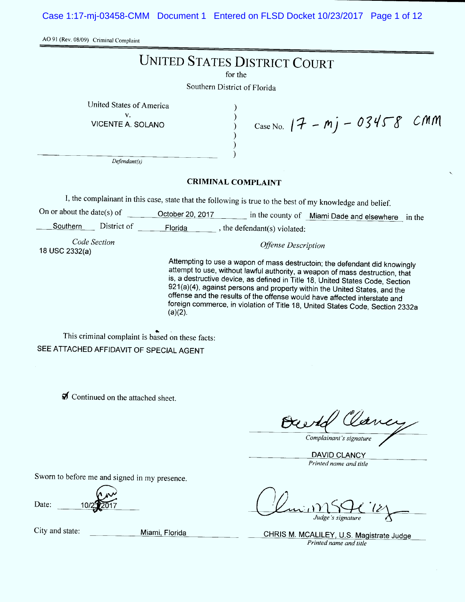Case 1:17-mj-03458-CMM Document 1 Entered on FLSD Docket 10/23/2017 Page 1 of 12

AO 91 (Rev. 08/09) Criminal Complaint

|                                                     | <b>UNITED STATES DISTRICT COURT</b>                                                                                                                                                                                                                                                                                                                                                                                                                                                                  |
|-----------------------------------------------------|------------------------------------------------------------------------------------------------------------------------------------------------------------------------------------------------------------------------------------------------------------------------------------------------------------------------------------------------------------------------------------------------------------------------------------------------------------------------------------------------------|
|                                                     | for the                                                                                                                                                                                                                                                                                                                                                                                                                                                                                              |
|                                                     | Southern District of Florida                                                                                                                                                                                                                                                                                                                                                                                                                                                                         |
| United States of America<br>V.<br>VICENTE A. SOLANO | $Case No.$ $17 - mj - 03458$<br>CMM                                                                                                                                                                                                                                                                                                                                                                                                                                                                  |
| Defendant(s)                                        |                                                                                                                                                                                                                                                                                                                                                                                                                                                                                                      |
|                                                     | <b>CRIMINAL COMPLAINT</b>                                                                                                                                                                                                                                                                                                                                                                                                                                                                            |
|                                                     | I, the complainant in this case, state that the following is true to the best of my knowledge and belief.                                                                                                                                                                                                                                                                                                                                                                                            |
| On or about the date(s) of                          | October 20, 2017 in the county of Miami Dade and elsewhere in the                                                                                                                                                                                                                                                                                                                                                                                                                                    |
| District of<br>Southern                             | Florida , the defendant(s) violated:                                                                                                                                                                                                                                                                                                                                                                                                                                                                 |
| Code Section<br>18 USC 2332(a)                      | <b>Offense Description</b>                                                                                                                                                                                                                                                                                                                                                                                                                                                                           |
|                                                     | Attempting to use a wapon of mass destructoin; the defendant did knowingly<br>attempt to use, without lawful authority, a weapon of mass destruction, that<br>is, a destructive device, as defined in Title 18, United States Code, Section<br>921(a)(4), against persons and property within the United States, and the<br>offense and the results of the offense would have affected interstate and<br>foreign commerce, in violation of Title 18, United States Code, Section 2332a<br>$(a)(2)$ . |
| This criminal complaint is based on these facts:    |                                                                                                                                                                                                                                                                                                                                                                                                                                                                                                      |
| SEE ATTACHED AFFIDAVIT OF SPECIAL AGENT             |                                                                                                                                                                                                                                                                                                                                                                                                                                                                                                      |
|                                                     |                                                                                                                                                                                                                                                                                                                                                                                                                                                                                                      |
| Continued on the attached sheet.                    |                                                                                                                                                                                                                                                                                                                                                                                                                                                                                                      |
|                                                     | Complainant's signature                                                                                                                                                                                                                                                                                                                                                                                                                                                                              |
|                                                     | <b>DAVID CLANCY</b><br>Printed name and title                                                                                                                                                                                                                                                                                                                                                                                                                                                        |
| Sworn to before me and signed in my presence.       |                                                                                                                                                                                                                                                                                                                                                                                                                                                                                                      |
| Date:                                               |                                                                                                                                                                                                                                                                                                                                                                                                                                                                                                      |
| City and state:<br>Miami, Florida                   | CHRIS M. MCALILEY, U.S. Magistrate Judge<br>Printed name and title                                                                                                                                                                                                                                                                                                                                                                                                                                   |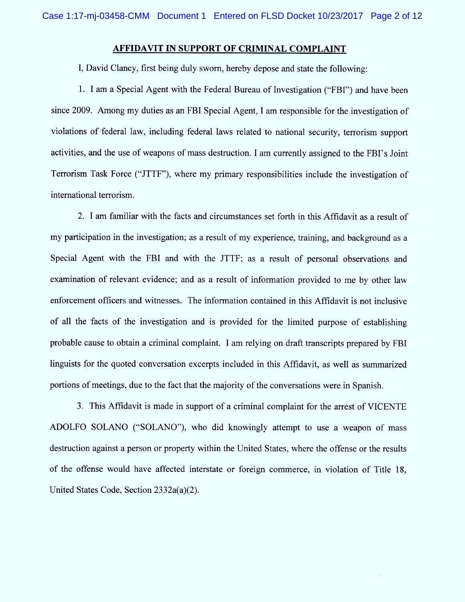# AFFIDAVIT IN SUPPORT OF CRIMINAL COMPLAINT

1, David Clancy, first being duly sworn, hereby depose and state the following:

1. I am a Special Agent with the Federal Bureau of Investigation ("FBI") and have been since 2009. Among my duties as an FBI Special Agent, I am responsible for the investigation of violations of federal law, including federal laws related to national security, terrorism support activities, and the use of weapons of mass destruction. I am currently assigned to the FBI's Joint Terrorism Task Force ("JTTF"), where my primary responsibilities include the investigation of international terrorism.

2. I am familiar with the facts and circumstances set forth in this Affidavit as a result of my participation in the investigation; as a result of my experience, training, and background as a Special Agent with the FBl and with the JTTF; as a result of personal observations and examination of relevant evidence; and as a result of information provided to me by other law enforcement officers and witnesses. The information contained in this Affidavit is not inclusive of all the facts of the investigation and is provided for the limited purpose of establishing probable cause to obtain a criminal complaint. I am relying on draft transcripts prepared by FBI linguists for the quoted conversation excerpts included in this Affidavit, as well as summarized portions of meetings, due to the fact that the majority of the conversations were in Spanish.

3. This Affidavit is made in support of a criminal complaint for the arrest of VICENTE ADOLFO SOLANO ("SOLANO"), who did knowingly attempt to use a weapon of mass destruction against a person or property within the United States, where the offense or the results of the offense would have affected interstate or foreign commerce, in violation of Title 18, United States Code, Section 2332a(a)(2).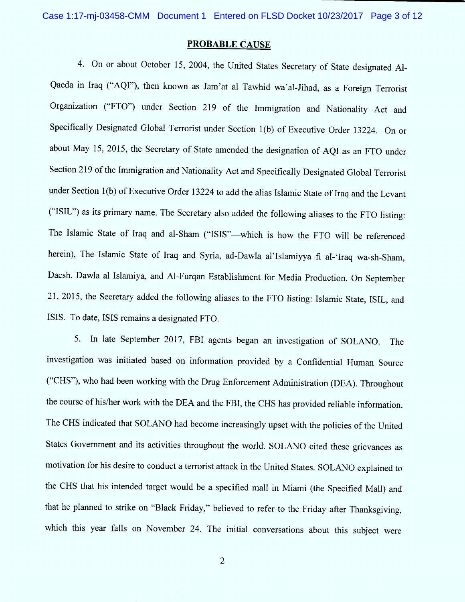### PROBABLE CAUSE

4. On or about October 15, 2004, the United States Secretary of State designated Al-Qaeda in Iraq ("AQI"), then known as Jam'at al Tawhid wa'al-Jihad, as a Foreign Terrorist Organization ("FTO") under Section 219 of the Immigration and Nationality Act and Specitically Designated Global Terrorist under Section 1(b) of Executive Order 13224. On or about May 15, 2015, the Secretary of State amended the designation of AQ1 as an FTO under Section 219 of the Immigration and Nationality Act and Specifically Designated Global Terrorist under Section 1(b) of Executive Order 13224 to add the alias Islamic State of Iraq and the Levant ("ISIL") as its primary name. The Secretary also added the following aliases to the FTO listing: The Islamic State of Iraq and al-Sham ("ISIS"-which is how the FTO will be referenced herein), The Islamic State of Iraq and Syria, ad-Dawla al'Islamiyya fi al-'Iraq wa-sh-Sham, Daesh, Dawla al Islamiya, and Al-Furqan Establishment for Media Production. On September 21, 2015, the Secretary added the following aliases to the FTO listing: Islamic State, ISIL, and ISIS. To date, ISIS remains a designated FTO.

5. In late Septem ber 2017, FB1 agents began an investigation of SOLANO. The investigation was initiated based on information provided by a Contidential Human Source ("CHS"), who had been working with the Drug Enforcement Administration (DEA). Throughout the course of his/her work with the DEA and the FBI, the CHS has provided reliable information. The CHS indicated that SOLANO had become increasingly upset with the policies of the United States Government and its activities throughout the world. SOLANO cited these grievances as motivation for his desire to conduct a terrorist attack in the United States. SOLANO explained to the CHS that his intended target would be a specified mall in Miami (the Specified Mall) and that he planned to strike on "Black Friday," believed to refer to the Friday after Thanksgiving, which this year falls on November 24. The initial conversations about this subject were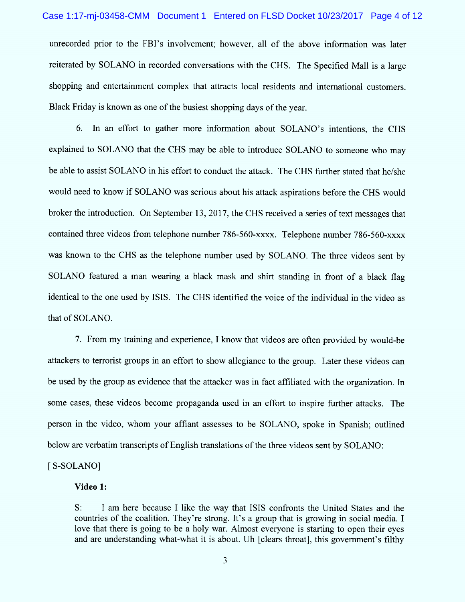unrecorded prior to the FBI's involvement; however, all of the above information was later reiterated by SOLANO in recorded conversations with the CHS. The Specified Mall is a large shopping and entertainment complex that attracts local residents and international customers. Black Friday is known as one of the busiest shopping days of the year.

6. In an effort to gather more information about SOLANO's intentions, the CHS explained to SOLANO that the CHS may be able to introduce SOLANO to someone who may be able to assist SOLANO in his effort to conduct the atlack. The CHS further stated that he/she would need to know if SOLANO was serious about his attack aspirations before the CHS would broker the introduction. On September 13, 2017, the CHS received a series of text messages that contained three videos from telephone number 786-560-xxxx. Telephone number 786-560-xxxx was known to the CHS as the telephone number used by SOLANO. The three videos sent by SOLANO featured a man wearing a black mask and shirt standing in front of a black flag identical to the one used by ISIS. The CHS identified the voice of the individual in the video as that of SOLANO.

7. From my training and experience, I know that videos are often provided by would-be attackers to terrorist groups in an effort to show allegiance to the group. Later these videos can be used by the group as evidence that the attacker was in fact affiliated with the organization. In some cases, these videos become propaganda used in an effort to inspire further attacks. The person in the video, whom your affiant assesses to be SOLANO, spoke in Spanish; outlined below are verbatim transcripts of English translations of the three videos sent by SOLANO:

[S-SOLANO]

#### Video 1:

S: 1 am here because 1 like the way that ISIS confronts the United States and the countries of the coalition. They're strong. It's a group that is growing in social media. I love that there is going to be a holy war. Almost everyone is starting to open their eyes and are understanding what-what it is about. Uh [clears throat], this government's filthy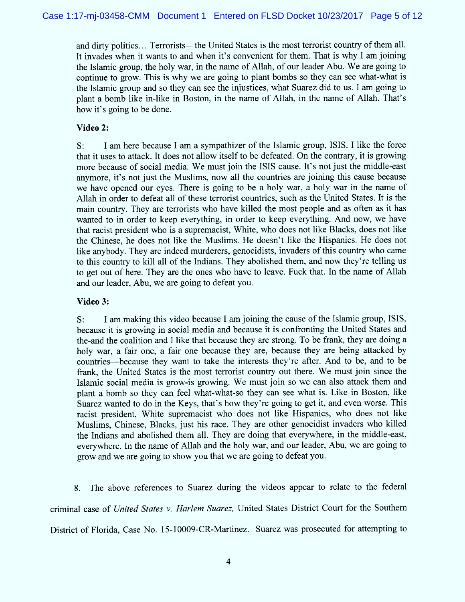and dirty politics... Terrorists—the United States is the most terrorist country of them all. It invades when it wants to and when it's convenient for them. That is why I am joining the Islamic group, the holy war, in the name of Allah, of our leader Abu. We are going to continue to grow. This is why we are going to plant bombs so they can see what-what is the Islamic group and so they can see the injustices, what Suarez did to us. 1 am going to plant a bomb like in-like in Boston, in the name of Allah, in the name of Allah. That's how it's going to be done.

## Video 2:

S: I am here because I am a sympathizer of the Islamic group, ISIS. I like the force that it uses to attack. lt does not allow itself to be defeated. On the contrary, it is growing more because of social media. We must join the ISIS cause. It's not just the middle-east anymore, it's not just the Muslims, now all the countries are joining this cause because we have opened our eyes. There is going to be a holy war, a holy war in the name of Allah in order to defeat a11 of these terrorist countries, such as the United States. lt is the main country. They are terrorists who have killed the most people and as often as it has wanted to in order to keep everything, in order to keep everything. And now, we have that racist president who is a supremacist, W hite, who does not like Blacks, does not like the Chinese, he does not like the Muslims. He doesn't like the Hispanics. He does not like anybody. They are indeed murderers, genocidists, invaders of this country who came to this country to kill all of the Indians. They abolished them, and now they're telling us to get out of here. They are the ones who have to leave. Fuck that. In the name of Allah and our leader, Abu, we are going to defeat you.

### Video 3:

S: I am making this video because l am joining the cause of the Islamic group, ISIS, because it is growing in social media and because it is confronting the United States and the-and the coalition and l like that because they are strong. To be frank, they are doing a holy war, a fair one, a fair one because they are, because they are being attacked by countries- because they want to take the interests they're after. And to be, and to be frank, the United States is the most terrorist country out there. We must join since the Islamic social media is grow-is growing. We must join so we can also attack them and plant a bomb so they can feel what-what-so they can see what is. Like in Boston, like Suarez wanted to do in the Keys, that's how they're going to get it, and even worse. This racist president, White supremacist who does not like Hispanics, who does not like Muslims, Chinese, Blacks, just his race. They are other genocidist invaders who killed the Indians and abolished them all. They are doing that everywhere, in the middle-east, everywhere. In the name of Allah and the holy war, and our leader, Abu, we are going to grow and we are going to show you that we are going to defeat you.

8. The above references to Suarez during the videos appear to relate to the federal criminal case of United States v. Harlem Suarez, United States District Court for the Southern District of Florida, Case No. 15-10009-CR-Martinez. Suarez was prosecuted for attempting to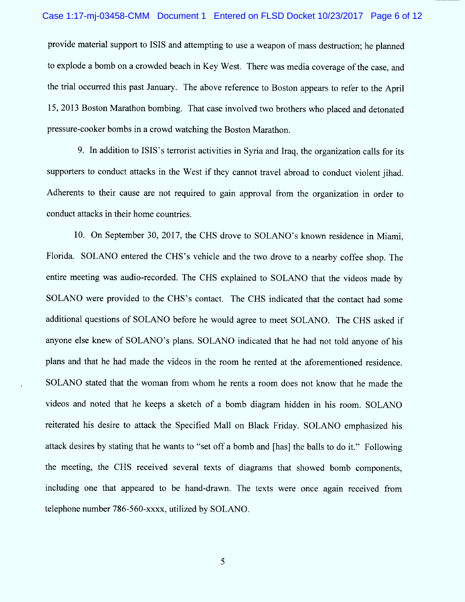provide material support to ISIS and attempting to use a weapon of mass destruction; he planned to explode a bomb on a crowded beach in Key West. There was media coverage of the case, and the trial occurred this past January. The above reference to Boston appears to refer to the April 15, 2013 Boston Marathon bombing. That case involved two brothers who placed and detonated pressure-cooker bombs in a crowd watching the Boston Marathon.

9. In addition to ISIS's terrorist activities in Syria and Iraq, the organization calls for its supporters to conduct attacks in the West if they cannot travel abroad to conduct violent jihad. Adherents to their cause are not required to gain approval from the organization in order to conduct attacks in their home countries.

10. On September 30, 2017, the CHS drove to SOLANO's known residence in Miami, Florida. SOLANO entered the CHS's vehicle and the two drove to a nearby coffee shop. The entire meeting was audio-recorded. The CHS explained to SOLANO that the videos made by SOLANO were provided to the CHS's contact. The CHS indicated that the contact had some additional questions of SOLANO before he would agree to meet SOLANO. The CHS asked if anyone else knew of SOLANO 'S plans. SOLANO indicated that he had not told anyone of his plans and that he had made the videos in the room he rented at the aforementioned residence. SOLANO stated that the woman from whom he rents a room does not know that he made the videos and noted that he keeps a sketch of a bomb diagram hidden in his room. SOLANO reiterated his desire to attack the Specified Mall on Black Friday. SOLANO emphasized his attack desires by stating that he wants to "set off a bomb and [has] the balls to do it." Following the meeting, the CHS received several texts of diagrams that showed bomb components, including one that appeared to be hand-drawn. The texts were once again received from telephone number 786-560-xxxx, utilized by SOLANO.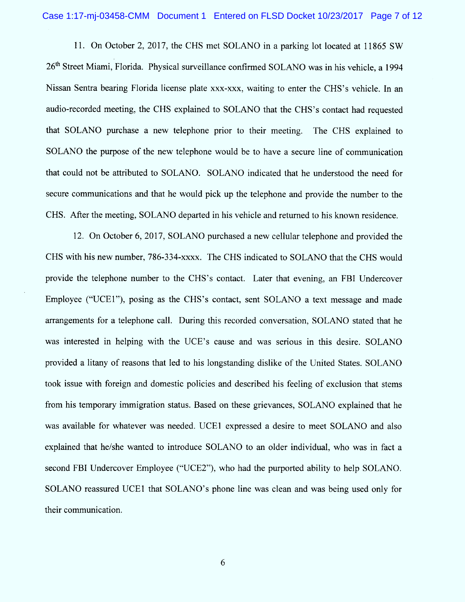11. On October 2, 2017, the CHS met SOLANO in a parking lot located at 11865 SW 26<sup>th</sup> Street Miami, Florida. Physical surveillance confirmed SOLANO was in his vehicle, a 1994 Nissan Sentra bearing Florida license plate xxx-xxx, waiting to enter the CHS's vehicle. In an audio-recorded meeting, the CHS explained to SOLANO that the CHS's contact had requested that SOLANO purchase a new telephone prior to their meeting. The CHS explained to SOLANO the purpose of the new telephone would be to have a secure line of communication that could not be attributed to SOLANO. SOLANO indicated that he understood the need for secure communications and that he would pick up the telephone and provide the number to the CHS. After the meeting, SOLANO departed in his vehicle and returned to his known residence.

12. On October 6, 2017, SOLANO purchased a new cellular telephone and provided the CHS with his new number, 786-334-xxxx. The CHS indicated to SOLANO that the CHS would provide the telephone number to the CHS'S contact. Later that evening, an FB1 Undercover Employee ("UCE1"), posing as the CHS's contact, sent SOLANO a text message and made arrangem ents for a telephone call. During this recorded conversation, SOLANO stated that he was interested in helping with the UCE's cause and was serious in this desire. SOLANO provided a litany of reasons that led to his longstanding dislike of the United States. SOLANO took issue with foreign and domestic policies and described his feeling of exclusion that stems from his temporary immigration status. Based on these grievances, SOLANO explained that he was available for whatever was needed. UCE1 expressed a desire to meet SOLANO and also explained that he/she wanted to introduce SOLANO to an older individual, who was in fact a second FBI Undercover Employee ("UCE2"), who had the purported ability to help SOLANO. SOLANO reassured UCE1 that SOLANO's phone line was clean and was being used only for their communication.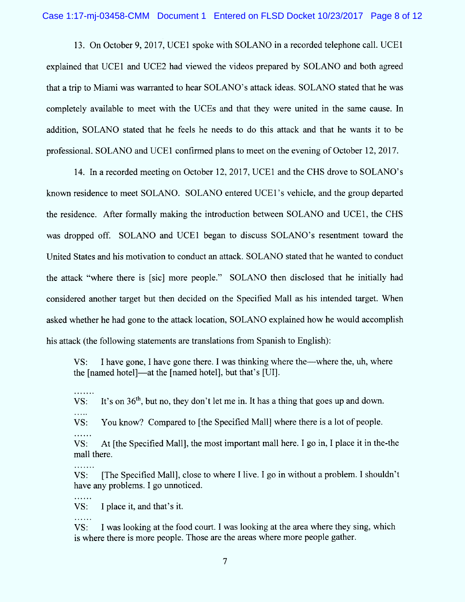13. On October 9, 2017, UCEI spoke with SOLANO in a recorded telephone call. UCEI explained that UCE1 and UCE2 had viewed the videos prepared by SOLANO and both agreed that a trip to Miami was warranted to hear SOLANO's attack ideas. SOLANO stated that he was completely available to meet with the UCEs and that they were united in the same cause. In addition, SOLANO stated that he feels he needs to do this attack and that he wants it to be professional. SOLANO and UCE1 confirmed plans to meet on the evening of October 12, 2017.

14. In a recorded meeting on October 12, 2017, UCE1 and the CHS drove to SOLANO's known residence to meet SOLANO. SOLANO entered UCE1's vehicle, and the group departed the residence. After formally making the introduction between SOLANO and UCE1, the CHS was dropped off. SOLANO and UCE1 began to discuss SOLANO's resentment toward the United States and his motivation to conduct an attack. SOLANO stated that he wanted to conduct the attack "where there is [sic] more people." SOLANO then disclosed that he initially had considered another target but then decided on the Specified Mall as his intended target. When asked whether he had gone to the attack location, SOLANO explained how he would accomplish his attack (the following statements are translations from Spanish to English):

VS: I have gone, l have gone there. l was thinking where the- where the, uh, where the [named hotel]—at the [named hotel], but that's [UI].

. . . . . . . VS: It's on  $36<sup>th</sup>$ , but no, they don't let me in. It has a thing that goes up and down.

VS: You know? Compared to [the Specified Mall] where there is a lot of people.

. . . . . .

. . . . . . .

. . . . . .

. . . . . .

. . . . .

VS: At [the Specified Mall], the most important mall here. I go in, I place it in the-the mall there.

VS: [The Specified Mall], close to where I live. I go in without a problem. I shouldn't have any problems. 1 go unnoticed.

VS: 1 place it, and that's it.

VS: I was looking at the food court. I was looking at the area where they sing, which is where there is more people. Those are the areas where more people gather.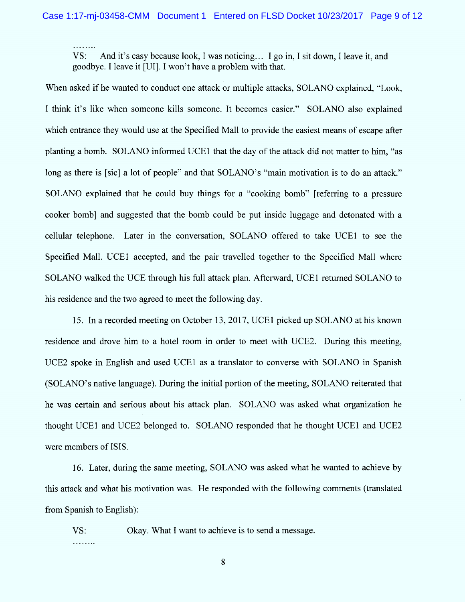VS: And it's easy because look, I was noticing... I go in, I sit down, I leave it, and goodbye. l leave it (Ul1. l won't have a problem with that.

When asked if he wanted to conduct one attack or multiple attacks, SOLANO explained, "Look, I think it's like when someone kills someone. It becomes easier." SOLANO also explained which entrance they would use at the Specified Mall to provide the easiest means of escape after planting a bomb. SOLANO informed UCE1 that the day of the attack did not matter to him, "as long as there is [sic] a lot of people" and that SOLANO's "main motivation is to do an attack." SOLANO explained that he could buy things for a "cooking bomb" (referring to a pressure cooker bombl and suggested that the bomb could be put inside luggage and detonated with a cellular telephone. Later in the conversation, SOLANO offered to take UCE1 to see the Specified Mall. UCE1 accepted, and the pair travelled together to the Specified Mall where SOLANO walked the UCE through his full attack plan. Afterward, UCEI returned SOLANO to his residence and the two agreed to meet the following day.

15. ln a recorded meeting on October 13, 2017, UCEI picked up SOLANO at his known residence and drove him to a hotel room in order to meet with UCE2. During this meeting, UCE2 spoke in English and used UCEI as a translator to converse with SOLANO in Spanish (SOLANO'S native language). During the initial portion of the meeting, SOLANO reiterated that he was certain and serious about his attack plan. SOLANO was asked what organization he thought UCEI and UCE2 belonged to. SOLANO responded that he thought UCEI and UCE2 were members of ISIS.

16. Later, during the same meeting, SOLANO was asked what he wanted to achieve by this attack and what his motivation was. He responded with the following comments (translated from Spanish to English):

VS: Okay. What I want to achieve is to send a message. . . . . . . . .

8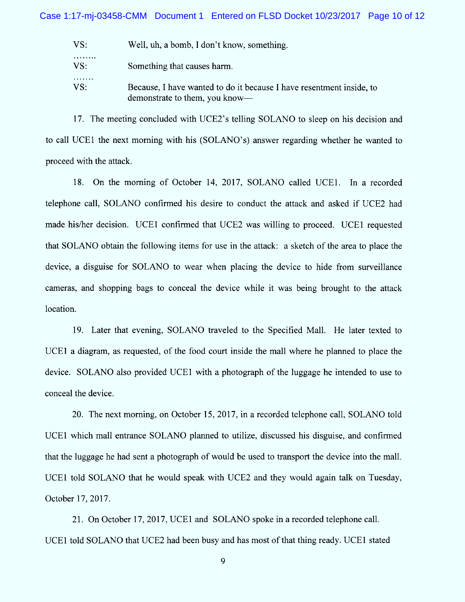$VS:$ Well, uh, a bomb, I don't know, something. . . . . . . . . Something that causes harm.  $VS:$ . . . . . . . Because, I have wanted to do it because I have resentment inside, to  $VS:$ demonstrate to them, you know-

17. The meeting concluded with UCE2's telling SOLANO to sleep on his decision and to call UCEI the next morning with his (SOLANO'S) answer regarding whether he wanted to proceed with the attack.

18. On the morning of October 14, 2017, SOLANO called UCE1. In a recorded telephone call, SOLANO confirmed his desire to conduct the attack and asked if UCE2 had made his/her decision. UCE1 confirmed that UCE2 was willing to proceed. UCE1 requested that SOLANO obtain the following items for use in the attack: a sketch of the area to place the device, a disguise for SOLANO to wear when placing the device to hide from surveillance cameras, and shopping bags to conceal the device while it was being brought to the attack location.

19. Later that evening, SOLANO traveled to the Specified Mall. He later texted to UCE1 a diagram, as requested, of the food court inside the mall where he planned to place the device. SOLANO also provided UCEI with a photograph of the luggage he intended to use to conceal the device.

20. The next morning, on October 15, 2017, in a recorded telephone call, SOLANO told UCE1 which mall entrance SOLANO planned to utilize, discussed his disguise, and confirmed that the luggage he had sent a photograph of would be used to transport the device into the mall. UCEI told SOLANO that he would speak with UCE2 and they would again talk on Tuesday, October 17, 2017.

21. On October 17, 2017, UCE1 and SOLANO spoke in a recorded telephone call. UCEI told SOLANO that UCE2 had been busy and has most of that thing ready. UCEI stated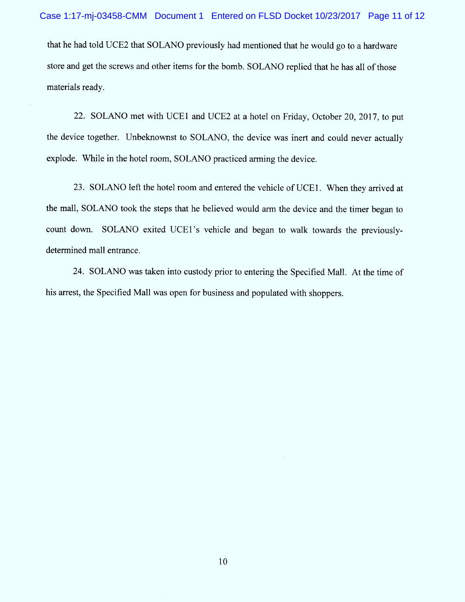that he had told UCE2 that SOLANO previously had mentioned that he would go to a hardware store and get the screws and other items for the bomb. SOLANO replied that he has all of those materials ready.

22. SOLANO met with UCE1 and UCE2 at a hotel on Friday, October 20, 2017, to put the device together. Unbeknownst to SOLANO, the device was inert and could never actually explode. While in the hotel room, SOLANO practiced arming the device.

23. SOLANO left the hotel room and entered the vehicle of UCE1. When they arrived at the mall, SOLANO took the steps that he believed would arm the device and the timer began to count down. SOLANO exited UCE1's vehicle and began to walk towards the previouslydetermined mall entrance.

24. SOLANO was taken into custody prior to entering the Specified Mall. At the time of his arrest, the Specified Mall was open for business and populated with shoppers.